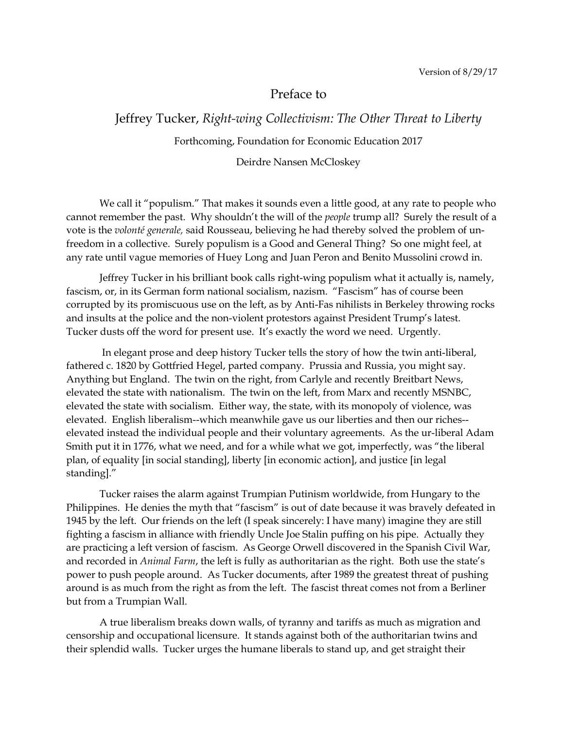## Preface to

## Jeffrey Tucker, *Right-wing Collectivism: The Other Threat to Liberty* Forthcoming, Foundation for Economic Education 2017

## Deirdre Nansen McCloskey

We call it "populism." That makes it sounds even a little good, at any rate to people who cannot remember the past. Why shouldn't the will of the *people* trump all? Surely the result of a vote is the *volonté generale,* said Rousseau, believing he had thereby solved the problem of unfreedom in a collective. Surely populism is a Good and General Thing? So one might feel, at any rate until vague memories of Huey Long and Juan Peron and Benito Mussolini crowd in.

Jeffrey Tucker in his brilliant book calls right-wing populism what it actually is, namely, fascism, or, in its German form national socialism, nazism. "Fascism" has of course been corrupted by its promiscuous use on the left, as by Anti-Fas nihilists in Berkeley throwing rocks and insults at the police and the non-violent protestors against President Trump's latest. Tucker dusts off the word for present use. It's exactly the word we need. Urgently.

In elegant prose and deep history Tucker tells the story of how the twin anti-liberal, fathered c. 1820 by Gottfried Hegel, parted company. Prussia and Russia, you might say. Anything but England. The twin on the right, from Carlyle and recently Breitbart News, elevated the state with nationalism. The twin on the left, from Marx and recently MSNBC, elevated the state with socialism. Either way, the state, with its monopoly of violence, was elevated. English liberalism--which meanwhile gave us our liberties and then our riches- elevated instead the individual people and their voluntary agreements. As the ur-liberal Adam Smith put it in 1776, what we need, and for a while what we got, imperfectly, was "the liberal plan, of equality [in social standing], liberty [in economic action], and justice [in legal standing]."

Tucker raises the alarm against Trumpian Putinism worldwide, from Hungary to the Philippines. He denies the myth that "fascism" is out of date because it was bravely defeated in 1945 by the left. Our friends on the left (I speak sincerely: I have many) imagine they are still fighting a fascism in alliance with friendly Uncle Joe Stalin puffing on his pipe. Actually they are practicing a left version of fascism. As George Orwell discovered in the Spanish Civil War, and recorded in *Animal Farm*, the left is fully as authoritarian as the right. Both use the state's power to push people around. As Tucker documents, after 1989 the greatest threat of pushing around is as much from the right as from the left. The fascist threat comes not from a Berliner but from a Trumpian Wall.

A true liberalism breaks down walls, of tyranny and tariffs as much as migration and censorship and occupational licensure. It stands against both of the authoritarian twins and their splendid walls. Tucker urges the humane liberals to stand up, and get straight their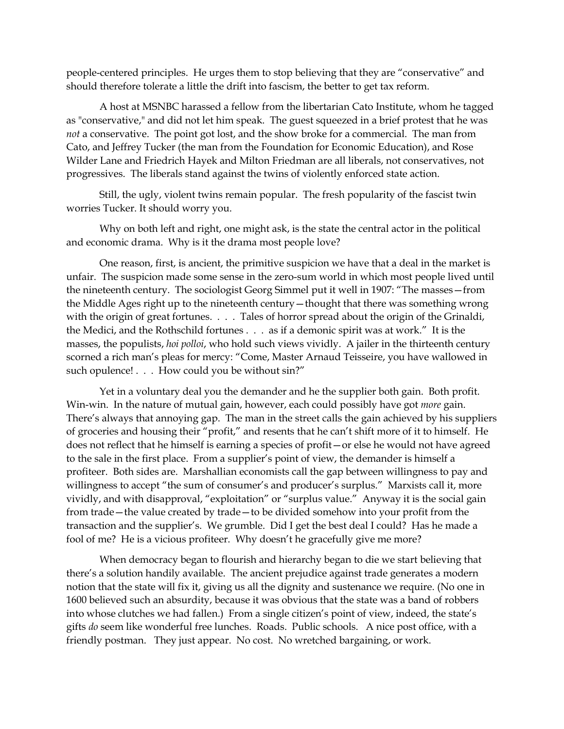people-centered principles. He urges them to stop believing that they are "conservative" and should therefore tolerate a little the drift into fascism, the better to get tax reform.

A host at MSNBC harassed a fellow from the libertarian Cato Institute, whom he tagged as "conservative," and did not let him speak. The guest squeezed in a brief protest that he was *not* a conservative. The point got lost, and the show broke for a commercial. The man from Cato, and Jeffrey Tucker (the man from the Foundation for Economic Education), and Rose Wilder Lane and Friedrich Hayek and Milton Friedman are all liberals, not conservatives, not progressives. The liberals stand against the twins of violently enforced state action.

Still, the ugly, violent twins remain popular. The fresh popularity of the fascist twin worries Tucker. It should worry you.

Why on both left and right, one might ask, is the state the central actor in the political and economic drama. Why is it the drama most people love?

One reason, first, is ancient, the primitive suspicion we have that a deal in the market is unfair. The suspicion made some sense in the zero-sum world in which most people lived until the nineteenth century. The sociologist Georg Simmel put it well in 1907: "The masses—from the Middle Ages right up to the nineteenth century—thought that there was something wrong with the origin of great fortunes. . . . Tales of horror spread about the origin of the Grinaldi, the Medici, and the Rothschild fortunes . . . as if a demonic spirit was at work." It is the masses, the populists, *hoi polloi*, who hold such views vividly. A jailer in the thirteenth century scorned a rich man's pleas for mercy: "Come, Master Arnaud Teisseire, you have wallowed in such opulence! . . . How could you be without sin?"

Yet in a voluntary deal you the demander and he the supplier both gain. Both profit. Win-win. In the nature of mutual gain, however, each could possibly have got *more* gain. There's always that annoying gap. The man in the street calls the gain achieved by his suppliers of groceries and housing their "profit," and resents that he can't shift more of it to himself. He does not reflect that he himself is earning a species of profit—or else he would not have agreed to the sale in the first place. From a supplier's point of view, the demander is himself a profiteer. Both sides are. Marshallian economists call the gap between willingness to pay and willingness to accept "the sum of consumer's and producer's surplus." Marxists call it, more vividly, and with disapproval, "exploitation" or "surplus value." Anyway it is the social gain from trade—the value created by trade—to be divided somehow into your profit from the transaction and the supplier's. We grumble. Did I get the best deal I could? Has he made a fool of me? He is a vicious profiteer. Why doesn't he gracefully give me more?

When democracy began to flourish and hierarchy began to die we start believing that there's a solution handily available. The ancient prejudice against trade generates a modern notion that the state will fix it, giving us all the dignity and sustenance we require. (No one in 1600 believed such an absurdity, because it was obvious that the state was a band of robbers into whose clutches we had fallen.) From a single citizen's point of view, indeed, the state's gifts *do* seem like wonderful free lunches. Roads. Public schools. A nice post office, with a friendly postman. They just appear. No cost. No wretched bargaining, or work.